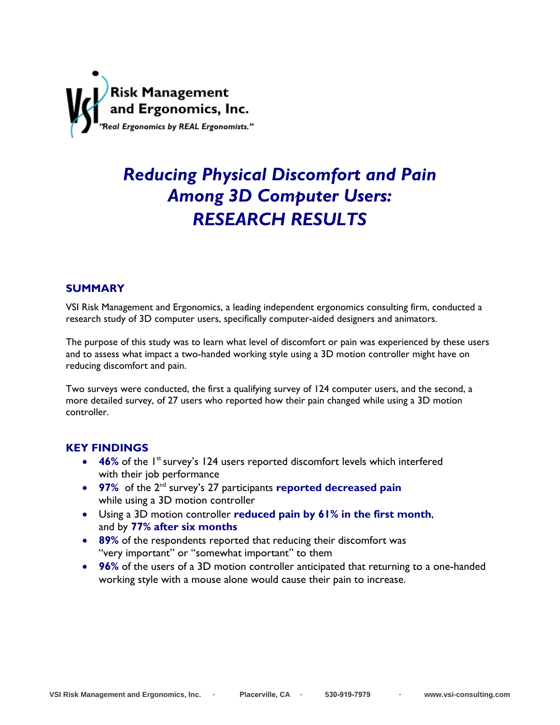

# *Reducing Physical Discomfort and Pain Among 3D Computer Users: RESEARCH RESULTS*

# **SUMMARY**

VSI Risk Management and Ergonomics, a leading independent ergonomics consulting firm, conducted a research study of 3D computer users, specifically computer-aided designers and animators.

The purpose of this study was to learn what level of discomfort or pain was experienced by these users and to assess what impact a two-handed working style using a 3D motion controller might have on reducing discomfort and pain.

Two surveys were conducted, the first a qualifying survey of 124 computer users, and the second, a more detailed survey, of 27 users who reported how their pain changed while using a 3D motion controller.

# **KEY FINDINGS**

- 46% of the 1<sup>st</sup> survey's 124 users reported discomfort levels which interfered with their job performance
- **97%** of the 2<sup>nd</sup> survey's 27 participants **reported decreased pain** while using a 3D motion controller
- Using a 3D motion controller **reduced pain by 61% in the first month**, and by **77% after six months**
- **89%** of the respondents reported that reducing their discomfort was "very important" or "somewhat important" to them
- **96%** of the users of a 3D motion controller anticipated that returning to a one-handed working style with a mouse alone would cause their pain to increase.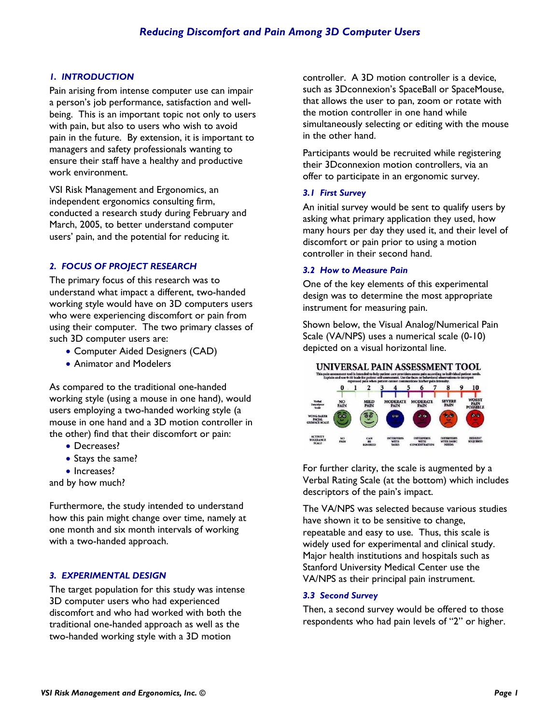# *1. INTRODUCTION*

Pain arising from intense computer use can impair a person's job performance, satisfaction and wellbeing. This is an important topic not only to users with pain, but also to users who wish to avoid pain in the future. By extension, it is important to managers and safety professionals wanting to ensure their staff have a healthy and productive work environment.

VSI Risk Management and Ergonomics, an independent ergonomics consulting firm, conducted a research study during February and March, 2005, to better understand computer users' pain, and the potential for reducing it.

# *2. FOCUS OF PROJECT RESEARCH*

The primary focus of this research was to understand what impact a different, two-handed working style would have on 3D computers users who were experiencing discomfort or pain from using their computer. The two primary classes of such 3D computer users are:

- Computer Aided Designers (CAD)
- Animator and Modelers

As compared to the traditional one-handed working style (using a mouse in one hand), would users employing a two-handed working style (a mouse in one hand and a 3D motion controller in the other) find that their discomfort or pain:

- Decreases?
- Stays the same?
- Increases?

and by how much?

Furthermore, the study intended to understand how this pain might change over time, namely at one month and six month intervals of working with a two-handed approach.

# *3. EXPERIMENTAL DESIGN*

The target population for this study was intense 3D computer users who had experienced discomfort and who had worked with both the traditional one-handed approach as well as the two-handed working style with a 3D motion

controller. A 3D motion controller is a device, such as 3Dconnexion's SpaceBall or SpaceMouse, that allows the user to pan, zoom or rotate with the motion controller in one hand while simultaneously selecting or editing with the mouse in the other hand.

Participants would be recruited while registering their 3Dconnexion motion controllers, via an offer to participate in an ergonomic survey.

# *3.1 First Survey*

An initial survey would be sent to qualify users by asking what primary application they used, how many hours per day they used it, and their level of discomfort or pain prior to using a motion controller in their second hand.

#### *3.2 How to Measure Pain*

One of the key elements of this experimental design was to determine the most appropriate instrument for measuring pain.

Shown below, the Visual Analog/Numerical Pain Scale (VA/NPS) uses a numerical scale (0-10) depicted on a visual horizontal line.



For further clarity, the scale is augmented by a Verbal Rating Scale (at the bottom) which includes descriptors of the pain's impact.

The VA/NPS was selected because various studies have shown it to be sensitive to change, repeatable and easy to use. Thus, this scale is widely used for experimental and clinical study. Major health institutions and hospitals such as Stanford University Medical Center use the VA/NPS as their principal pain instrument.

# *3.3 Second Survey*

Then, a second survey would be offered to those respondents who had pain levels of "2" or higher.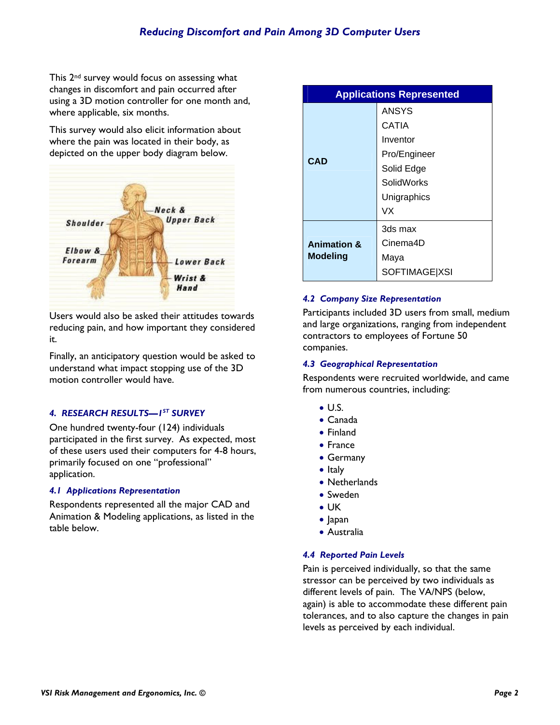This 2nd survey would focus on assessing what changes in discomfort and pain occurred after using a 3D motion controller for one month and, where applicable, six months.

This survey would also elicit information about where the pain was located in their body, as depicted on the upper body diagram below.



Users would also be asked their attitudes towards reducing pain, and how important they considered it.

Finally, an anticipatory question would be asked to understand what impact stopping use of the 3D motion controller would have.

# *4. RESEARCH RESULTS—1ST SURVEY*

One hundred twenty-four (124) individuals participated in the first survey. As expected, most of these users used their computers for 4-8 hours, primarily focused on one "professional" application.

# *4.1 Applications Representation*

Respondents represented all the major CAD and Animation & Modeling applications, as listed in the table below.

| <b>Applications Represented</b>           |               |  |
|-------------------------------------------|---------------|--|
| <b>CAD</b>                                | ANSYS         |  |
|                                           | CATIA         |  |
|                                           | Inventor      |  |
|                                           | Pro/Engineer  |  |
|                                           | Solid Edge    |  |
|                                           | SolidWorks    |  |
|                                           | Unigraphics   |  |
|                                           | VX            |  |
| <b>Animation &amp;</b><br><b>Modeling</b> | 3ds max       |  |
|                                           | Cinema4D      |  |
|                                           | Maya          |  |
|                                           | SOFTIMAGE XSI |  |

# *4.2 Company Size Representation*

Participants included 3D users from small, medium and large organizations, ranging from independent contractors to employees of Fortune 50 companies.

# *4.3 Geographical Representation*

Respondents were recruited worldwide, and came from numerous countries, including:

- $\bullet$  U.S.
- Canada
- Finland
- France
- Germany
- Italy
- Netherlands
- Sweden
- UK
- Japan
- Australia

# *4.4 Reported Pain Levels*

Pain is perceived individually, so that the same stressor can be perceived by two individuals as different levels of pain. The VA/NPS (below, again) is able to accommodate these different pain tolerances, and to also capture the changes in pain levels as perceived by each individual.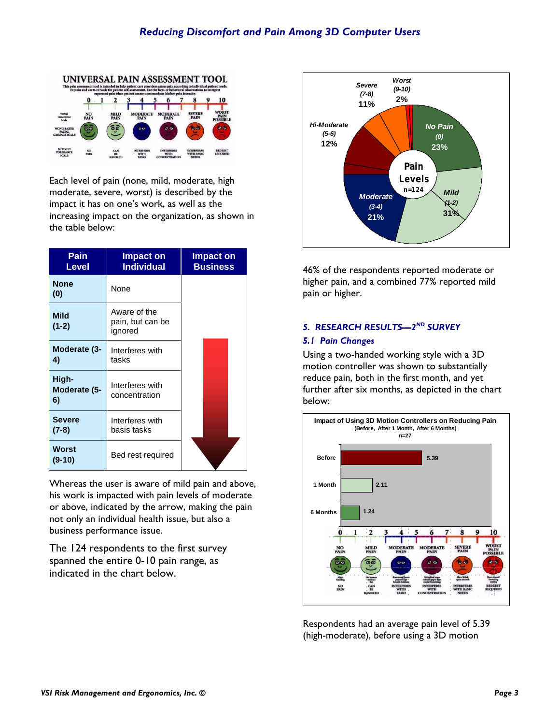

Each level of pain (none, mild, moderate, high moderate, severe, worst) is described by the impact it has on one's work, as well as the increasing impact on the organization, as shown in the table below:

| Pain<br>Level               | <b>Impact on</b><br><b>Individual</b>       | Impact on<br><b>Business</b> |
|-----------------------------|---------------------------------------------|------------------------------|
| <b>None</b><br>(0)          | None                                        |                              |
| <b>Mild</b><br>$(1-2)$      | Aware of the<br>pain, but can be<br>ignored |                              |
| Moderate (3-<br>4)          | Interferes with<br>tasks                    |                              |
| High-<br>Moderate (5-<br>6) | Interferes with<br>concentration            |                              |
| <b>Severe</b><br>$(7-8)$    | Interferes with<br>basis tasks              |                              |
| Worst<br>$(9-10)$           | Bed rest required                           |                              |

Whereas the user is aware of mild pain and above, his work is impacted with pain levels of moderate or above, indicated by the arrow, making the pain not only an individual health issue, but also a business performance issue.

The 124 respondents to the first survey spanned the entire 0-10 pain range, as indicated in the chart below.



46% of the respondents reported moderate or higher pain, and a combined 77% reported mild pain or higher.

# *5. RESEARCH RESULTS—2ND SURVEY*

#### *5.1 Pain Changes*

Using a two-handed working style with a 3D motion controller was shown to substantially reduce pain, both in the first month, and yet further after six months, as depicted in the chart below:



Respondents had an average pain level of 5.39 (high-moderate), before using a 3D motion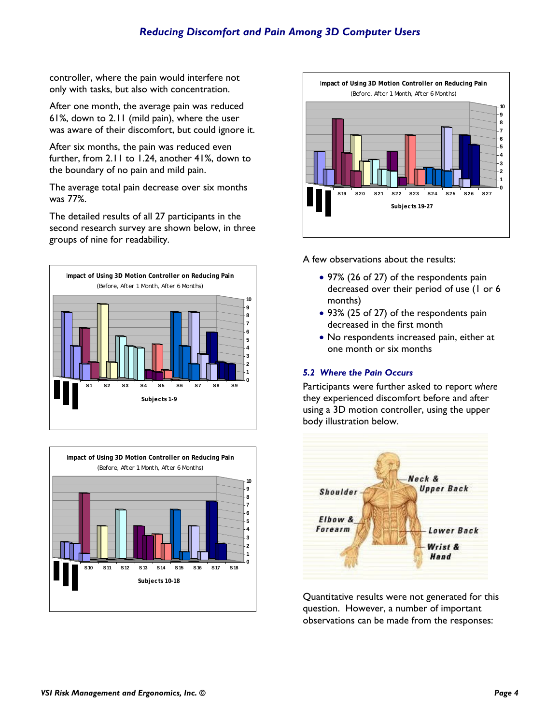controller, where the pain would interfere not only with tasks, but also with concentration.

After one month, the average pain was reduced 61%, down to 2.11 (mild pain), where the user was aware of their discomfort, but could ignore it.

After six months, the pain was reduced even further, from 2.11 to 1.24, another 41%, down to the boundary of no pain and mild pain.

The average total pain decrease over six months was 77%.

The detailed results of all 27 participants in the second research survey are shown below, in three groups of nine for readability.







A few observations about the results:

- 97% (26 of 27) of the respondents pain decreased over their period of use (1 or 6 months)
- 93% (25 of 27) of the respondents pain decreased in the first month
- No respondents increased pain, either at one month or six months

# *5.2 Where the Pain Occurs*

Participants were further asked to report *where* they experienced discomfort before and after using a 3D motion controller, using the upper body illustration below.



Quantitative results were not generated for this question. However, a number of important observations can be made from the responses: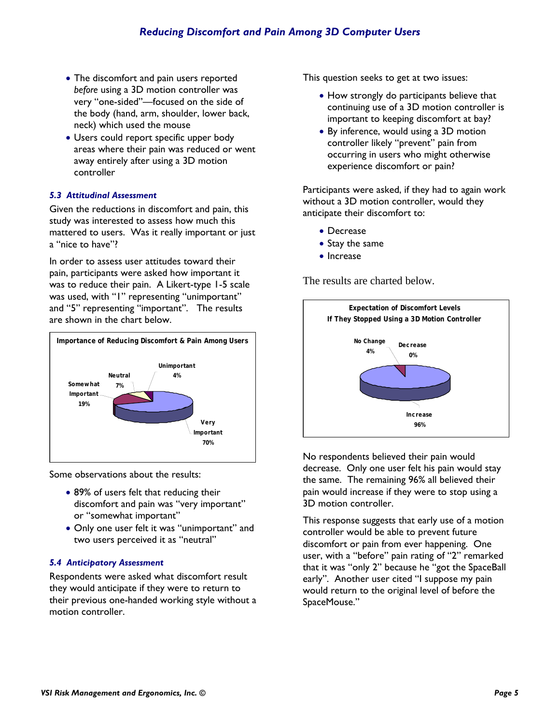- The discomfort and pain users reported *before* using a 3D motion controller was very "one-sided"—focused on the side of the body (hand, arm, shoulder, lower back, neck) which used the mouse
- Users could report specific upper body areas where their pain was reduced or went away entirely after using a 3D motion controller

# *5.3 Attitudinal Assessment*

Given the reductions in discomfort and pain, this study was interested to assess how much this mattered to users. Was it really important or just a "nice to have"?

In order to assess user attitudes toward their pain, participants were asked how important it was to reduce their pain. A Likert-type 1-5 scale was used, with "1" representing "unimportant" and "5" representing "important". The results are shown in the chart below.



Some observations about the results:

- 89% of users felt that reducing their discomfort and pain was "very important" or "somewhat important"
- Only one user felt it was "unimportant" and two users perceived it as "neutral"

# *5.4 Anticipatory Assessment*

Respondents were asked what discomfort result they would anticipate if they were to return to their previous one-handed working style without a motion controller.

This question seeks to get at two issues:

- How strongly do participants believe that continuing use of a 3D motion controller is important to keeping discomfort at bay?
- By inference, would using a 3D motion controller likely "prevent" pain from occurring in users who might otherwise experience discomfort or pain?

Participants were asked, if they had to again work without a 3D motion controller, would they anticipate their discomfort to:

- Decrease
- Stay the same
- Increase

The results are charted below.



No respondents believed their pain would decrease. Only one user felt his pain would stay the same. The remaining 96% all believed their pain would increase if they were to stop using a 3D motion controller.

This response suggests that early use of a motion controller would be able to prevent future discomfort or pain from ever happening. One user, with a "before" pain rating of "2" remarked that it was "only 2" because he "got the SpaceBall early". Another user cited "I suppose my pain would return to the original level of before the SpaceMouse."